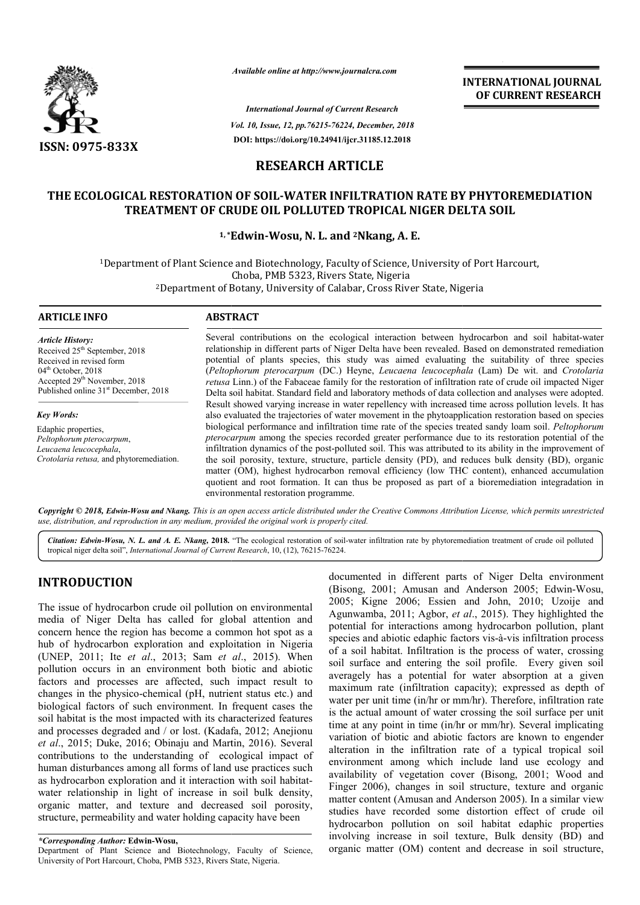

*Available online at http://www.journalcra.com*

*Vol. 10, Issue, 12, pp. pp.76215-76224, December, 2018 International Journal of Current Research* **DOI: https://doi.org/10.24941/ijcr.31185.12.2018**

**INTERNATIONAL JOURNAL OF CURRENT RESEARCH**

# **RESEARCH ARTICLE**

# **THE ECOLOGICAL RESTORATION OF SOIL SOIL-WATER INFILTRATION RATE BY PHYTOREMEDIATION**  CAL RESTORATION OF SOIL-WATER INFILTRATION RATE BY PHYTOF<br>TREATMENT OF CRUDE OIL POLLUTED TROPICAL NIGER DELTA SOIL

#### **1, \*Edwin Edwin-Wosu, N. L. and 2Nkang, A. E.**

<sup>1</sup>Department of Plant Science and Biotechnology, Faculty of Science, University of Port Harcourt,<br>Choba, PMB 5323, Rivers State, Nigeria<br><sup>2</sup>Department of Botany, University of Calabar, Cross River State, Nigeria 2Department of Botany, University of Calabar, Cross River State, Nigeria Department

#### **ARTICLE INFO ABSTRACT**

*Article History:* Received 25<sup>th</sup> September, 2018 Received in revised form 04<sup>th</sup> October, 2018 Accepted 29<sup>th</sup> November, 2018 Published online 31<sup>st</sup> December, 2018

*Key Words:* Edaphic properties, *Peltophorum pterocarpum*, *Leucaena leucocephala*, *Crotolaria retusa,* and phytoremediation.

Several contributions on the ecological interaction between hydrocarbon and soil habitat-water relationship in different parts of Niger Delta have been revealed. Based on demonstrated remediation relationship in different parts of Niger Delta have been revealed. Based on demonstrated remediation potential of plants species, this study was aimed evaluating the suitability of three species (*Peltophorum pterocarpum* (DC.) Heyne, *Leucaena leucocephala leucocephala* (Lam) De wit. and *Crotolaria retusa* Linn.) of the Fabaceae family for the restoration of infiltration rate of crude oil impacted Niger Delta soil habitat. Standard field and laboratory methods of data collection and analyses were adopted. Result showed varying increase in water repellency with increased time across pollution levels. It has also evaluated the trajectories of water movement in the phytoapplication restoration based on species biological performance and infiltration time rate of the species treated sandy loam soil. *Peltophorum pterocarpum*  among the species recorded greater performance due to its restoration potential of the infiltration dynamics of the post-polluted soil. This was attributed to its ability in the improvement of the soil porosity, texture, structure, particle density (PD), and reduces bulk density (BD), organic matter (OM), highest hydrocarbon removal efficiency (low THC content), enhanced accumulation quotient and root formation. It can thus be proposed as part of a bioremediation integradation in environmental restoration programme. retusa Linn.) of the Fabaceae family for the restoration of infiltration rate of crude oil impacted Niger Delta soil habitat. Standard field and laboratory methods of data collection and analyses were adopted. Result showe pterocarpum among the species recorded greater performance due to its restorat<br>infiltration dynamics of the post-polluted soil. This was attributed to its ability in<br>the soil porosity, texture, structure, particle density

Copyright © 2018, Edwin-Wosu and Nkang. This is an open access article distributed under the Creative Commons Attribution License, which permits unrestrictea *use, distribution, and reproduction in any medium, provided the original work is properly cited.*

Citation: Edwin-Wosu, N. L. and A. E. Nkang, 2018. "The ecological restoration of soil-water infiltration rate by phytoremediation treatment of crude oil polluted tropical niger delta soil", *International Journal of Current Research*, 10, (12), 76215-76224.

# **INTRODUCTION**

The issue of hydrocarbon crude oil pollution on environmental media of Niger Delta has called for global attention and concern hence the region has become a common hot spot as a hub of hydrocarbon exploration and exploitation in Nigeria (UNEP, 2011; Ite *et al*., 2013; Sam *et al* ., 2015). When pollution occurs in an environment both biotic and abiotic factors and processes are affected, such impact result to changes in the physico-chemical (pH, nutrient status etc.) and biological factors of such environment. In frequent cases the soil habitat is the most impacted with its characterized features and processes degraded and / or lost. (Kadafa, 2012; Anejionu *et al*., 2015; Duke, 2016; Obinaju and Martin, 2016). Several changes in the physico-chemical (pH, nutrient status etc.) and<br>biological factors of such environment. In frequent cases the<br>soil habitat is the most impacted with its characterized features<br>and processes degraded and / or human disturbances among all forms of land use practices such as hydrocarbon exploration and it interaction with soil habitat habitatwater relationship in light of increase in soil bulk density, organic matter, and texture and decreased soil porosi porosity, structure, permeability and water holding capacity have been

documented in different parts of Niger Delta environment documented in different parts of Niger Delta environment<br>(Bisong, 2001; Amusan and Anderson 2005; Edwin-Wosu, 2005; Kigne 2006; Essien and John, 2010; Uzoije and 2005; Kigne 2006; Essien and John, 2010; Uzoije and Agunwamba, 2011; Agbor, *et al.*, 2015). They highlighted the potential for interactions among hydrocarbon pollution, plant species and abiotic edaphic factors vis-à-vis infiltration process of a soil habitat. Infiltration is the process of water, crossing soil surface and entering the soil profile. Every given soil averagely has a potential for water absorption at a given maximum rate (infiltration capacity); expressed as depth of water per unit time (in/hr or mm/hr). Therefore, infiltration rate is the actual amount of water crossing the soil surface per unit maximum rate (infiltration capacity); expressed as depth of water per unit time (in/hr or mm/hr). Therefore, infiltration rate is the actual amount of water crossing the soil surface per unit time at any point in time (in/ variation of biotic and abiotic factors are known to engender alteration in the infiltration rate of a typical tropical soil environment among which include land use ecology and availability of vegetation cover (Bisong, 2001; Wood Finger 2006), changes in soil structure, texture and organic matter content (Amusan and Anderson 2005). In a similar view studies have recorded some distortion effect of crude oil hydrocarbon pollution on soil habitat edaphic properties involving increase in soil texture, Bulk density (BD) and organic matter (OM) content and decrease in soil structure, is the process of water, crossing<br>
is soil profile. Every given soil<br>
or water absorption at a given variation of biotic and abiotic factors are known to engender alteration in the infiltration rate of a typical tropical soil environment among which include land use ecology and availability of vegetation cover (Bisong, 20 **EXERVATIONAL JOURNAL FORMATIONAL FORMATION CONTRATE CONTRATE CONTRATE CONTRATE CONTRATE CONTRATE USES THEST USES THEST USES THEST USES THEST USES THEST USES INTERNATION CONTRATE USES THEST USES INTERNATION CONTRATE USES I** 

*<sup>\*</sup>Corresponding Author:* **Edwin-Wosu,** 

Department of Plant Science and Biotechnology, Faculty of Science, University of Port Harcourt, Choba, PMB 5323, Rivers State, Nigeria Nigeria.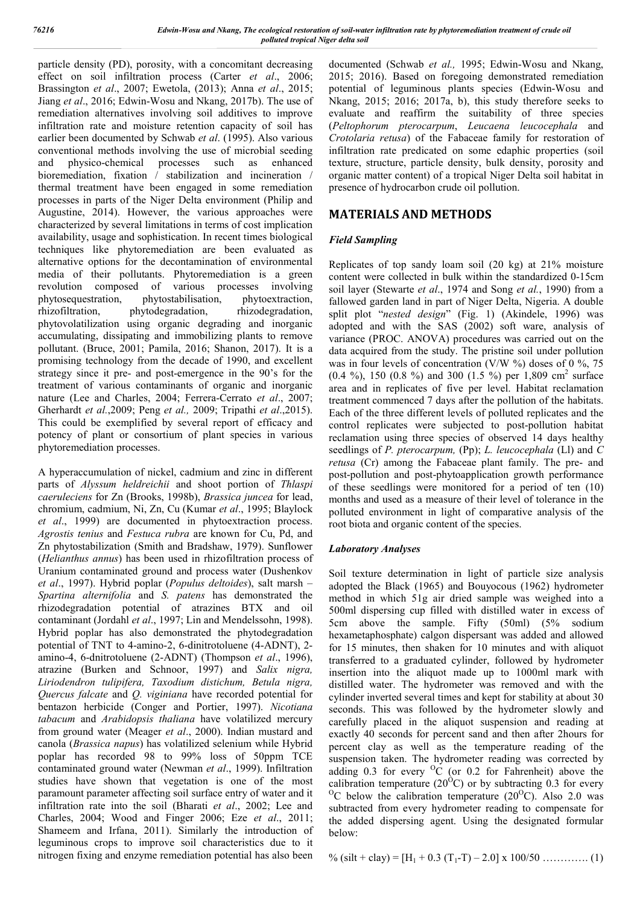particle density (PD), porosity, with a concomitant decreasing effect on soil infiltration process (Carter *et al*., 2006; Brassington *et al*., 2007; Ewetola, (2013); Anna *et al*., 2015; Jiang *et al*., 2016; Edwin-Wosu and Nkang, 2017b). The use of remediation alternatives involving soil additives to improve infiltration rate and moisture retention capacity of soil has earlier been documented by Schwab *et al*. (1995). Also various conventional methods involving the use of microbial seeding and physico-chemical processes such as enhanced bioremediation, fixation  $\overrightarrow{l}$  stabilization and incineration / thermal treatment have been engaged in some remediation processes in parts of the Niger Delta environment (Philip and Augustine, 2014). However, the various approaches were characterized by several limitations in terms of cost implication availability, usage and sophistication. In recent times biological techniques like phytoremediation are been evaluated as alternative options for the decontamination of environmental media of their pollutants. Phytoremediation is a green revolution composed of various processes involving phytosequestration, phytostabilisation, phytoextraction, rhizofiltration, phytodegradation, rhizodegradation, phytovolatilization using organic degrading and inorganic accumulating, dissipating and immobilizing plants to remove pollutant. (Bruce, 2001; Pamila, 2016; Shanon, 2017). It is a promising technology from the decade of 1990, and excellent strategy since it pre- and post-emergence in the 90's for the treatment of various contaminants of organic and inorganic nature (Lee and Charles, 2004; Ferrera-Cerrato *et al*., 2007; Gherhardt *et al.*,2009; Peng *et al.,* 2009; Tripathi *et al*.,2015). This could be exemplified by several report of efficacy and potency of plant or consortium of plant species in various phytoremediation processes.

A hyperaccumulation of nickel, cadmium and zinc in different parts of *Alyssum heldreichii* and shoot portion of *Thlaspi caeruleciens* for Zn (Brooks, 1998b), *Brassica juncea* for lead, chromium, cadmium, Ni, Zn, Cu (Kumar *et al*., 1995; Blaylock *et al*., 1999) are documented in phytoextraction process. *Agrostis tenius* and *Festuca rubra* are known for Cu, Pd, and Zn phytostabilization (Smith and Bradshaw, 1979). Sunflower (*Helianthus annus*) has been used in rhizofiltration process of Uranium contaminated ground and process water (Dushenkov *et al*., 1997). Hybrid poplar (*Populus deltoides*), salt marsh – *Spartina alternifolia* and *S. patens* has demonstrated the rhizodegradation potential of atrazines BTX and oil contaminant (Jordahl *et al*., 1997; Lin and Mendelssohn, 1998). Hybrid poplar has also demonstrated the phytodegradation potential of TNT to 4-amino-2, 6-dinitrotoluene (4-ADNT), 2 amino-4, 6-dnitrotoluene (2-ADNT) (Thompson *et al*., 1996), atrazine (Burken and Schnoor, 1997) and *Salix nigra, Liriodendron tulipifera, Taxodium distichum, Betula nigra, Quercus falcate* and *Q. viginiana* have recorded potential for bentazon herbicide (Conger and Portier, 1997). *Nicotiana tabacum* and *Arabidopsis thaliana* have volatilized mercury from ground water (Meager *et al*., 2000). Indian mustard and canola (*Brassica napus*) has volatilized selenium while Hybrid poplar has recorded 98 to 99% loss of 50ppm TCE contaminated ground water (Newman *et al*., 1999). Infiltration studies have shown that vegetation is one of the most paramount parameter affecting soil surface entry of water and it infiltration rate into the soil (Bharati *et al*., 2002; Lee and Charles, 2004; Wood and Finger 2006; Eze *et al*., 2011; Shameem and Irfana, 2011). Similarly the introduction of leguminous crops to improve soil characteristics due to it nitrogen fixing and enzyme remediation potential has also been

documented (Schwab *et al.,* 1995; Edwin-Wosu and Nkang, 2015; 2016). Based on foregoing demonstrated remediation potential of leguminous plants species (Edwin-Wosu and Nkang, 2015; 2016; 2017a, b), this study therefore seeks to evaluate and reaffirm the suitability of three species (*Peltophorum pterocarpum*, *Leucaena leucocephala* and *Crotolaria retusa*) of the Fabaceae family for restoration of infiltration rate predicated on some edaphic properties (soil texture, structure, particle density, bulk density, porosity and organic matter content) of a tropical Niger Delta soil habitat in presence of hydrocarbon crude oil pollution.

# **MATERIALS AND METHODS**

## *Field Sampling*

Replicates of top sandy loam soil (20 kg) at 21% moisture content were collected in bulk within the standardized 0-15cm soil layer (Stewarte *et al*., 1974 and Song *et al.*, 1990) from a fallowed garden land in part of Niger Delta, Nigeria. A double split plot "*nested design*" (Fig. 1) (Akindele, 1996) was adopted and with the SAS (2002) soft ware, analysis of variance (PROC. ANOVA) procedures was carried out on the data acquired from the study. The pristine soil under pollution was in four levels of concentration (V/W  $\%$ ) doses of 0  $\%$ , 75 (0.4 %), 150 (0.8 %) and 300 (1.5 %) per 1,809 cm<sup>2</sup> surface area and in replicates of five per level. Habitat reclamation treatment commenced 7 days after the pollution of the habitats. Each of the three different levels of polluted replicates and the control replicates were subjected to post-pollution habitat reclamation using three species of observed 14 days healthy seedlings of *P. pterocarpum,* (Pp); *L. leucocephala* (Ll) and *C retusa* (Cr) among the Fabaceae plant family. The pre- and post-pollution and post-phytoapplication growth performance of these seedlings were monitored for a period of ten (10) months and used as a measure of their level of tolerance in the polluted environment in light of comparative analysis of the root biota and organic content of the species.

## *Laboratory Analyses*

Soil texture determination in light of particle size analysis adopted the Black (1965) and Bouyocous (1962) hydrometer method in which 51g air dried sample was weighed into a 500ml dispersing cup filled with distilled water in excess of 5cm above the sample. Fifty (50ml) (5% sodium hexametaphosphate) calgon dispersant was added and allowed for 15 minutes, then shaken for 10 minutes and with aliquot transferred to a graduated cylinder, followed by hydrometer insertion into the aliquot made up to 1000ml mark with distilled water. The hydrometer was removed and with the cylinder inverted several times and kept for stability at about 30 seconds. This was followed by the hydrometer slowly and carefully placed in the aliquot suspension and reading at exactly 40 seconds for percent sand and then after 2hours for percent clay as well as the temperature reading of the suspension taken. The hydrometer reading was corrected by adding  $0.3$  for every  $^{0}C$  (or  $0.2$  for Fahrenheit) above the calibration temperature (20<sup>o</sup>C) or by subtracting 0.3 for every <sup>O</sup>C below the calibration temperature  $(20^{\circ}$ C). Also 2.0 was subtracted from every hydrometer reading to compensate for the added dispersing agent. Using the designated formular below:

% (silt + clay) =  $[H_1 + 0.3 (T_1-T) - 2.0] \times 100/50$  …………... (1)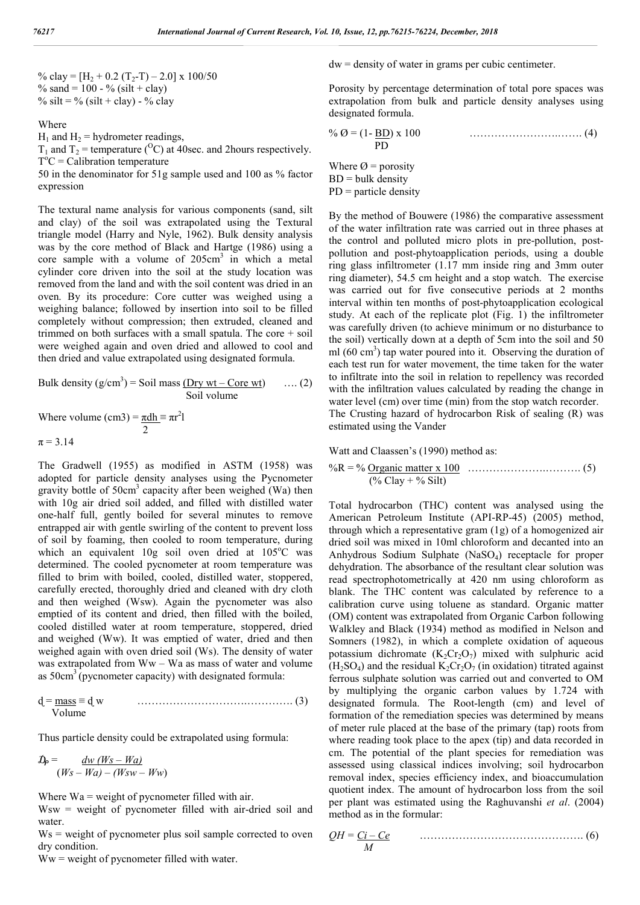% clay =  $[H_2 + 0.2 (T_2-T) - 2.0]$  x 100/50 % sand =  $100 - %$  (silt + clay) % silt = % (silt + clay) - % clay

Where

 $H_1$  and  $H_2$  = hydrometer readings,

 $T_1$  and  $T_2$  = temperature (<sup>O</sup>C) at 40sec. and 2hours respectively.  $T^oC =$  Calibration temperature

50 in the denominator for 51g sample used and 100 as % factor expression

The textural name analysis for various components (sand, silt and clay) of the soil was extrapolated using the Textural triangle model (Harry and Nyle, 1962). Bulk density analysis was by the core method of Black and Hartge (1986) using a core sample with a volume of  $205 \text{cm}^3$  in which a metal cylinder core driven into the soil at the study location was removed from the land and with the soil content was dried in an oven. By its procedure: Core cutter was weighed using a weighing balance; followed by insertion into soil to be filled completely without compression; then extruded, cleaned and trimmed on both surfaces with a small spatula. The core + soil were weighed again and oven dried and allowed to cool and then dried and value extrapolated using designated formula.

Bulk density 
$$
(g/cm^3)
$$
 = Soil mass (Dry wt – Core wt) .... (2)  
Soil volume

Where volume (cm3) =  $\frac{\pi dh}{r} = \pi r^2 l$  2  $\pi = 3.14$ 

The Gradwell (1955) as modified in ASTM (1958) was adopted for particle density analyses using the Pycnometer gravity bottle of  $50 \text{cm}^3$  capacity after been weighed (Wa) then with 10g air dried soil added, and filled with distilled water one-half full, gently boiled for several minutes to remove entrapped air with gentle swirling of the content to prevent loss of soil by foaming, then cooled to room temperature, during which an equivalent 10g soil oven dried at 105°C was determined. The cooled pycnometer at room temperature was filled to brim with boiled, cooled, distilled water, stoppered, carefully erected, thoroughly dried and cleaned with dry cloth and then weighed (Wsw). Again the pycnometer was also emptied of its content and dried, then filled with the boiled, cooled distilled water at room temperature, stoppered, dried and weighed (Ww). It was emptied of water, dried and then weighed again with oven dried soil (Ws). The density of water was extrapolated from Ww – Wa as mass of water and volume as  $50 \text{cm}^3$  (pycnometer capacity) with designated formula:

$$
d = \frac{mass}{volume} = d w
$$
 (3)

Thus particle density could be extrapolated using formula:

$$
\mathcal{D}_P = \frac{dw (W_S - Wa)}{(W_S - Wa) - (WSW - WW)}
$$

Where  $Wa = weight of pycnometer filled with air.$ 

Wsw = weight of pycnometer filled with air-dried soil and water.

 $Ws$  = weight of pycnometer plus soil sample corrected to oven dry condition.

 $Ww = weight of pyc\nu$  filled with water.

dw = density of water in grams per cubic centimeter.

Porosity by percentage determination of total pore spaces was extrapolation from bulk and particle density analyses using designated formula.

$$
\% \text{ } \mathcal{O} = (1 - \underline{BD}) \times 100
$$
 (4)  
PD

Where  $\varnothing$  = porosity  $BD = bulk density$  $PD =$  particle density

By the method of Bouwere (1986) the comparative assessment of the water infiltration rate was carried out in three phases at the control and polluted micro plots in pre-pollution, postpollution and post-phytoapplication periods, using a double ring glass infiltrometer (1.17 mm inside ring and 3mm outer ring diameter), 54.5 cm height and a stop watch. The exercise was carried out for five consecutive periods at 2 months interval within ten months of post-phytoapplication ecological study. At each of the replicate plot (Fig. 1) the infiltrometer was carefully driven (to achieve minimum or no disturbance to the soil) vertically down at a depth of 5cm into the soil and 50 ml (60 cm<sup>3</sup>) tap water poured into it. Observing the duration of each test run for water movement, the time taken for the water to infiltrate into the soil in relation to repellency was recorded with the infiltration values calculated by reading the change in water level (cm) over time (min) from the stop watch recorder. The Crusting hazard of hydrocarbon Risk of sealing (R) was estimated using the Vander

Watt and Claassen's (1990) method as:

%R = % Organic matter x 100 ………………….………. (5) (% Clay + % Silt)

Total hydrocarbon (THC) content was analysed using the American Petroleum Institute (API-RP-45) (2005) method, through which a representative gram (1g) of a homogenized air dried soil was mixed in 10ml chloroform and decanted into an Anhydrous Sodium Sulphate (NaSO4) receptacle for proper dehydration. The absorbance of the resultant clear solution was read spectrophotometrically at 420 nm using chloroform as blank. The THC content was calculated by reference to a calibration curve using toluene as standard. Organic matter (OM) content was extrapolated from Organic Carbon following Walkley and Black (1934) method as modified in Nelson and Somners (1982), in which a complete oxidation of aqueous potassium dichromate  $(K_2Cr_2O_7)$  mixed with sulphuric acid  $(H<sub>2</sub>SO<sub>4</sub>)$  and the residual  $K<sub>2</sub>Cr<sub>2</sub>O<sub>7</sub>$  (in oxidation) titrated against ferrous sulphate solution was carried out and converted to OM by multiplying the organic carbon values by 1.724 with designated formula. The Root-length (cm) and level of formation of the remediation species was determined by means of meter rule placed at the base of the primary (tap) roots from where reading took place to the apex (tip) and data recorded in cm. The potential of the plant species for remediation was assessed using classical indices involving; soil hydrocarbon removal index, species efficiency index, and bioaccumulation quotient index. The amount of hydrocarbon loss from the soil per plant was estimated using the Raghuvanshi *et al*. (2004) method as in the formular:

$$
QH = \underbrace{Ci - Ce}_{M}
$$
 (6)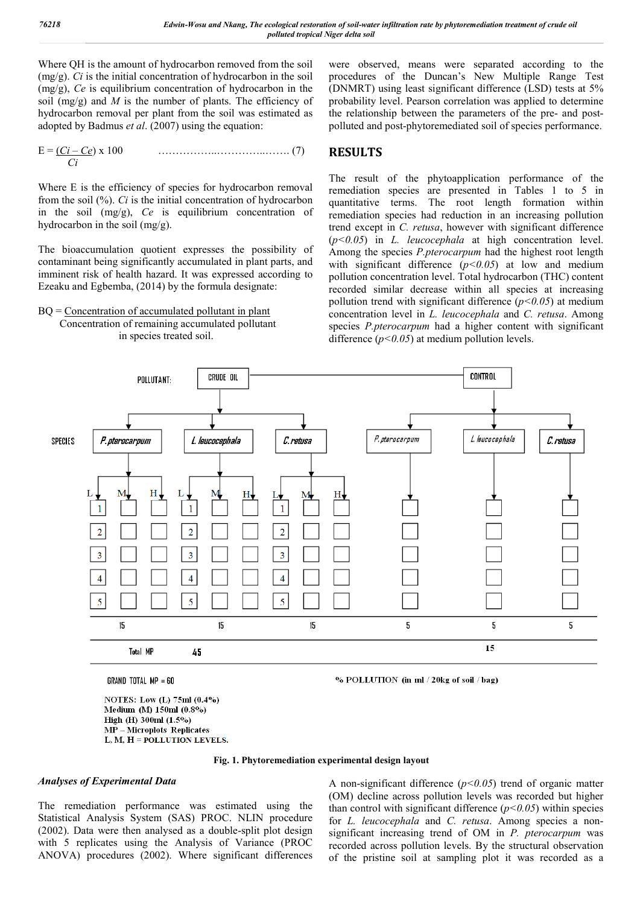Where QH is the amount of hydrocarbon removed from the soil (mg/g). *Ci* is the initial concentration of hydrocarbon in the soil (mg/g), *Ce* is equilibrium concentration of hydrocarbon in the soil (mg/g) and *M* is the number of plants. The efficiency of hydrocarbon removal per plant from the soil was estimated as adopted by Badmus *et al*. (2007) using the equation:

E = (*Ci – Ce*) x 100 ……………..…………..……. (7)  *Ci*

Where E is the efficiency of species for hydrocarbon removal from the soil (%). *Ci* is the initial concentration of hydrocarbon in the soil (mg/g), *Ce* is equilibrium concentration of hydrocarbon in the soil (mg/g).

The bioaccumulation quotient expresses the possibility of contaminant being significantly accumulated in plant parts, and imminent risk of health hazard. It was expressed according to Ezeaku and Egbemba, (2014) by the formula designate:

 $BQ =$  Concentration of accumulated pollutant in plant Concentration of remaining accumulated pollutant in species treated soil.

were observed, means were separated according to the procedures of the Duncan's New Multiple Range Test (DNMRT) using least significant difference (LSD) tests at 5% probability level. Pearson correlation was applied to determine the relationship between the parameters of the pre- and postpolluted and post-phytoremediated soil of species performance.

## **RESULTS**

The result of the phytoapplication performance of the remediation species are presented in Tables 1 to 5 in quantitative terms. The root length formation within remediation species had reduction in an increasing pollution trend except in *C. retusa*, however with significant difference (*p<0.05*) in *L. leucocephala* at high concentration level. Among the species *P.pterocarpum* had the highest root length with significant difference (*p<0.05*) at low and medium pollution concentration level. Total hydrocarbon (THC) content recorded similar decrease within all species at increasing pollution trend with significant difference (*p<0.05*) at medium concentration level in *L. leucocephala* and *C. retusa*. Among species *P.pterocarpum* had a higher content with significant difference (*p<0.05*) at medium pollution levels.



GRAND TOTAL MP = 60

NOTES: Low (L) 75ml (0.4%) Medium (M) 150ml (0.8%) High (H) 300ml (1.5%) MP-Microplots Replicates L. M. H = POLLUTION LEVELS.

% POLLUTION (in ml / 20kg of soil / bag)

**Fig. 1. Phytoremediation experimental design layout**

#### *Analyses of Experimental Data*

The remediation performance was estimated using the Statistical Analysis System (SAS) PROC. NLIN procedure (2002). Data were then analysed as a double-split plot design with 5 replicates using the Analysis of Variance (PROC ANOVA) procedures (2002). Where significant differences

A non-significant difference (*p<0.05*) trend of organic matter (OM) decline across pollution levels was recorded but higher than control with significant difference  $(p<0.05)$  within species for *L. leucocephala* and *C. retusa*. Among species a nonsignificant increasing trend of OM in *P. pterocarpum* was recorded across pollution levels. By the structural observation of the pristine soil at sampling plot it was recorded as a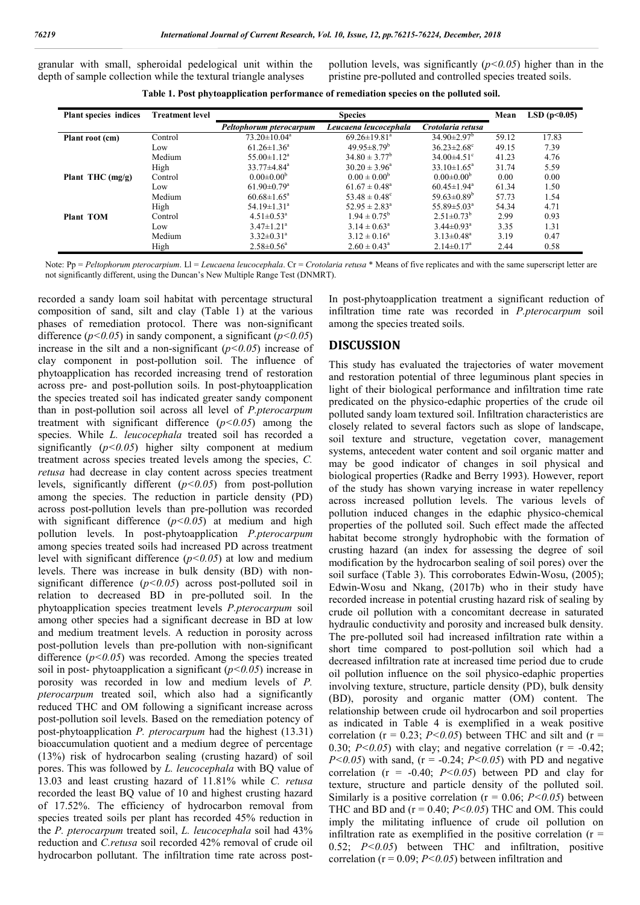granular with small, spheroidal pedelogical unit within the depth of sample collection while the textural triangle analyses

pollution levels, was significantly  $(p<0.05)$  higher than in the pristine pre-polluted and controlled species treated soils.

**Table 1. Post phytoapplication performance of remediation species on the polluted soil.**

| Plant species indices | <b>Treatment level</b> |                               | Mean                           | LSD(p<0.05)                   |       |       |
|-----------------------|------------------------|-------------------------------|--------------------------------|-------------------------------|-------|-------|
|                       |                        | Peltophorum pterocarpum       | Leucaena leucocephala          | Crotolaria retusa             |       |       |
| Plant root (cm)       | Control                | $73.20 \pm 10.04^a$           | $69.26 \pm 19.81$ <sup>a</sup> | $34.90 \pm 2.97$ <sup>b</sup> | 59.12 | 17.83 |
|                       | Low                    | $61.26 \pm 1.36^a$            | $49.95 \pm 8.79^b$             | $36.23 \pm 2.68$ <sup>c</sup> | 49.15 | 7.39  |
|                       | Medium                 | $55.00 \pm 1.12^a$            | $34.80 \pm 3.77^b$             | $34.00\pm4.51^{\circ}$        | 41.23 | 4.76  |
|                       | High                   | $33.77 \pm 4.84$ <sup>a</sup> | $30.20 \pm 3.96^{\circ}$       | $33.10 \pm 1.65^{\circ}$      | 31.74 | 5.59  |
| Plant THC $(mg/g)$    | Control                | $0.00 \pm 0.00^{\rm b}$       | $0.00 \pm 0.00^{\rm b}$        | $0.00 \pm 0.00^b$             | 0.00  | 0.00  |
|                       | Low                    | $61.90 \pm 0.79$ <sup>a</sup> | $61.67 \pm 0.48^{\circ}$       | $60.45 \pm 1.94$ <sup>a</sup> | 61.34 | 1.50  |
|                       | Medium                 | $60.68 \pm 1.65^{\circ}$      | $53.48 \pm 0.48$ °             | 59.63 $\pm$ 0.89 <sup>b</sup> | 57.73 | 1.54  |
|                       | High                   | 54.19 $\pm$ 1.31 <sup>a</sup> | $52.95 \pm 2.83^{\circ}$       | 55.89 $\pm$ 5.03 <sup>a</sup> | 54.34 | 4.71  |
| <b>Plant TOM</b>      | Control                | $4.51 \pm 0.53$ <sup>a</sup>  | $1.94 \pm 0.75^{\circ}$        | $2.51 \pm 0.73^b$             | 2.99  | 0.93  |
|                       | Low                    | $3.47 \pm 1.21$ <sup>a</sup>  | $3.14 \pm 0.63^{\circ}$        | $3.44 \pm 0.93$ <sup>a</sup>  | 3.35  | 1.31  |
|                       | Medium                 | $3.32 \pm 0.31$ <sup>a</sup>  | $3.12 \pm 0.16^a$              | $3.13 \pm 0.48$ <sup>a</sup>  | 3.19  | 0.47  |
|                       | High                   | $2.58 \pm 0.56^{\circ}$       | $2.60 \pm 0.43^{\circ}$        | $2.14 \pm 0.17$ <sup>a</sup>  | 2.44  | 0.58  |

Note: Pp = *Peltophorum pterocarpium*. Ll = *Leucaena leucocephala*. Cr = *Crotolaria retusa* \* Means of five replicates and with the same superscript letter are not significantly different, using the Duncan's New Multiple Range Test (DNMRT).

recorded a sandy loam soil habitat with percentage structural composition of sand, silt and clay (Table 1) at the various phases of remediation protocol. There was non-significant difference (*p<0.05*) in sandy component, a significant (*p<0.05*) increase in the silt and a non-significant  $(p<0.05)$  increase of clay component in post-pollution soil. The influence of phytoapplication has recorded increasing trend of restoration across pre- and post-pollution soils. In post-phytoapplication the species treated soil has indicated greater sandy component than in post-pollution soil across all level of *P.pterocarpum* treatment with significant difference  $(p<0.05)$  among the species. While *L. leucocephala* treated soil has recorded a significantly (*p<0.05*) higher silty component at medium treatment across species treated levels among the species, *C. retusa* had decrease in clay content across species treatment levels, significantly different (*p<0.05*) from post-pollution among the species. The reduction in particle density (PD) across post-pollution levels than pre-pollution was recorded with significant difference  $(p<0.05)$  at medium and high pollution levels. In post-phytoapplication *P.pterocarpum*  among species treated soils had increased PD across treatment level with significant difference (*p<0.05*) at low and medium levels. There was increase in bulk density (BD) with nonsignificant difference (*p<0.05*) across post-polluted soil in relation to decreased BD in pre-polluted soil. In the phytoapplication species treatment levels *P.pterocarpum* soil among other species had a significant decrease in BD at low and medium treatment levels. A reduction in porosity across post-pollution levels than pre-pollution with non-significant difference ( $p$ <0.05) was recorded. Among the species treated soil in post- phytoapplication a significant (*p<0.05*) increase in porosity was recorded in low and medium levels of *P. pterocarpum* treated soil, which also had a significantly reduced THC and OM following a significant increase across post-pollution soil levels. Based on the remediation potency of post-phytoapplication *P. pterocarpum* had the highest (13.31) bioaccumulation quotient and a medium degree of percentage (13%) risk of hydrocarbon sealing (crusting hazard) of soil pores. This was followed by *L. leucocephala* with BQ value of 13.03 and least crusting hazard of 11.81% while *C. retusa* recorded the least BQ value of 10 and highest crusting hazard of 17.52%. The efficiency of hydrocarbon removal from species treated soils per plant has recorded 45% reduction in the *P. pterocarpum* treated soil, *L. leucocephala* soil had 43% reduction and *C.retusa* soil recorded 42% removal of crude oil hydrocarbon pollutant. The infiltration time rate across postIn post-phytoapplication treatment a significant reduction of infiltration time rate was recorded in *P.pterocarpum* soil among the species treated soils.

#### **DISCUSSION**

This study has evaluated the trajectories of water movement and restoration potential of three leguminous plant species in light of their biological performance and infiltration time rate predicated on the physico-edaphic properties of the crude oil polluted sandy loam textured soil. Infiltration characteristics are closely related to several factors such as slope of landscape, soil texture and structure, vegetation cover, management systems, antecedent water content and soil organic matter and may be good indicator of changes in soil physical and biological properties (Radke and Berry 1993). However, report of the study has shown varying increase in water repellency across increased pollution levels. The various levels of pollution induced changes in the edaphic physico-chemical properties of the polluted soil. Such effect made the affected habitat become strongly hydrophobic with the formation of crusting hazard (an index for assessing the degree of soil modification by the hydrocarbon sealing of soil pores) over the soil surface (Table 3). This corroborates Edwin-Wosu, (2005); Edwin-Wosu and Nkang, (2017b) who in their study have recorded increase in potential crusting hazard risk of sealing by crude oil pollution with a concomitant decrease in saturated hydraulic conductivity and porosity and increased bulk density. The pre-polluted soil had increased infiltration rate within a short time compared to post-pollution soil which had a decreased infiltration rate at increased time period due to crude oil pollution influence on the soil physico-edaphic properties involving texture, structure, particle density (PD), bulk density (BD), porosity and organic matter (OM) content. The relationship between crude oil hydrocarbon and soil properties as indicated in Table 4 is exemplified in a weak positive correlation ( $r = 0.23$ ;  $P \le 0.05$ ) between THC and silt and ( $r =$ 0.30;  $P \le 0.05$ ) with clay; and negative correlation ( $r = -0.42$ ;  $P<0.05$ ) with sand, (r = -0.24;  $P<0.05$ ) with PD and negative correlation ( $r = -0.40$ ;  $P < 0.05$ ) between PD and clay for texture, structure and particle density of the polluted soil. Similarly is a positive correlation ( $r = 0.06$ ;  $P < 0.05$ ) between THC and BD and  $(r = 0.40; P < 0.05)$  THC and OM. This could imply the militating influence of crude oil pollution on infiltration rate as exemplified in the positive correlation  $(r =$ 0.52; *P<0.05*) between THC and infiltration, positive correlation ( $r = 0.09$ ;  $P < 0.05$ ) between infiltration and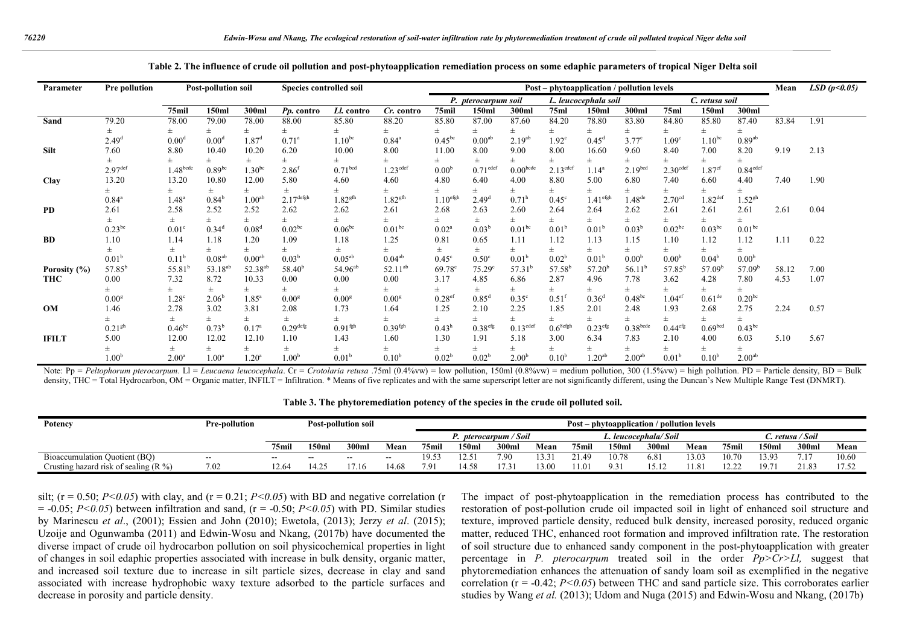| Parameter    | Pre pollution       | <b>Post-pollution soil</b><br>Species controlled soil |                     |                     |                       |                     |                        | Post – phytoapplication / pollution levels |                      |                      |                        |                      |                     |                      |                       | Mean                 | LSD(p<0.05) |      |
|--------------|---------------------|-------------------------------------------------------|---------------------|---------------------|-----------------------|---------------------|------------------------|--------------------------------------------|----------------------|----------------------|------------------------|----------------------|---------------------|----------------------|-----------------------|----------------------|-------------|------|
|              |                     |                                                       |                     |                     |                       |                     |                        |                                            | P. pterocarpum soil  |                      |                        | L. leucocephala soil |                     |                      | C. retusa soil        |                      |             |      |
|              |                     | 75mil                                                 | 150ml               | 300ml               | Pp. contro            | Ll. contro          | Cr. contro             | 75mil                                      | 150ml                | 300ml                | 75ml                   | 150ml                | 300ml               | 75ml                 | 150ml                 | 300ml                |             |      |
| Sand         | 79.20               | 78.00                                                 | 79.00               | 78.00               | 88.00                 | 85.80               | 88.20                  | 85.80                                      | 87.00                | 87.60                | 84.20                  | 78.80                | 83.80               | 84.80                | 85.80                 | 87.40                | 83.84       | 1.91 |
|              | 士                   | 士                                                     | $_{\pm}$            | 士                   |                       | $\pm$               | 士                      | $_{\pm}$                                   | $_{\pm}$             | Ŧ.                   | 士                      | Ŧ.                   | $\pm$               | 土                    | 士                     | 士                    |             |      |
|              | 2.49 <sup>d</sup>   | $0.00^\circ$                                          | 0.00 <sup>d</sup>   | 1.87 <sup>d</sup>   | $0.71^{\rm a}$        | $1.10^{bc}$         | $0.84^{\circ}$         | $0.45^{bc}$                                | 0.00 <sup>ab</sup>   | $2.19^{ab}$          | $1.92^\circ$           | $0.45^{\rm d}$       | $3.77^{\circ}$      | 1.09 <sup>c</sup>    | $1.10^{bc}$           | $0.89^{ab}$          |             |      |
| Silt         | 7.60                | 8.80                                                  | 10.40               | 10.20               | 6.20                  | 10.00               | 8.00                   | 11.00                                      | 8.00                 | 9.00                 | 8.00                   | 16.60                | 9.60                | 8.40                 | 7.00                  | 8.20                 | 9.19        | 2.13 |
|              |                     |                                                       | 士                   | $_{\pm}$            |                       | 士                   | 士                      | Ŧ.                                         | 士                    | $\pm$                | 士                      | Ŧ.                   | $_{\pm}$            |                      | 士                     | $\pm$                |             |      |
|              | 2.97 <sup>def</sup> | 1.48 <sup>bcde</sup>                                  | $0.89^{bc}$         | 1.30 <sup>bc</sup>  | 2.86 <sup>f</sup>     | 0.71 <sup>bcd</sup> | $1.23$ <sup>cdef</sup> | 0.00 <sup>b</sup>                          | 0.71 <sup>cdef</sup> | 0.00 <sub>bcde</sub> | $2.13$ <sup>cdef</sup> | $1.14^a$             | 2.19 <sup>bcd</sup> | 2.30 <sup>cdef</sup> | $1.87$ <sup>ef</sup>  | 0.84 <sup>cdef</sup> |             |      |
| Clay         | 13.20               | 13.20                                                 | 10.80               | 12.00               | 5.80                  | 4.60                | 4.60                   | 4.80                                       | 6.40                 | 4.00                 | 8.80                   | 5.00                 | 6.80                | 7.40                 | 6.60                  | 4.40                 | 7.40        | 1.90 |
|              |                     | $\pm$                                                 | 士                   | 士                   |                       | 士                   | 士                      | 士                                          | 士                    | ±.                   | $\pm$                  | Ŧ.                   | 士                   | 土                    | 士                     | $\pm$                |             |      |
|              | $0.84^{\circ}$      | $1.48^{a}$                                            | $0.84^{\rm b}$      | 1.00 <sup>ab</sup>  | $2.17^{\text{defgh}}$ | 1.82 <sup>gfh</sup> | 1.82 <sup>gfh</sup>    | $1.10$ <sup>efgh</sup>                     | 2.49 <sup>d</sup>    | 0.71 <sup>h</sup>    | $0.45^{\circ}$         | $1.41^{\rm efgh}$    | 1.48 <sup>de</sup>  | 2.70 <sup>cd</sup>   | $1.82$ <sup>def</sup> | $1.52^{gh}$          |             |      |
| <b>PD</b>    | 2.61                | 2.58                                                  | 2.52                | 2.52                | 2.62                  | 2.62                | 2.61                   | 2.68                                       | 2.63                 | 2.60                 | 2.64                   | 2.64                 | 2.62                | 2.61                 | 2.61                  | 2.61                 | 2.61        | 0.04 |
|              |                     | 士                                                     | $\pm$               | ±.                  |                       | $+$                 | $\pm$                  | 士                                          | 士                    | $+$                  | $\pm$                  | Ŧ.                   | $_{\pm}$            |                      | $\pm$                 | $_{\pm}$             |             |      |
|              | $0.23^{bc}$         | $0.01^{\circ}$                                        | $0.34^{\circ}$      | 0.08 <sup>d</sup>   | $0.02^{bc}$           | $0.06^{bc}$         | 0.01 <sup>bc</sup>     | $0.02^a$                                   | $0.03^{b}$           | 0.01 <sup>bc</sup>   | 0.01 <sup>b</sup>      | $0.01^{\rm b}$       | 0.03 <sup>b</sup>   | $0.02^{bc}$          | $0.03^{bc}$           | $0.01^{bc}$          |             |      |
| <b>BD</b>    | 1.10                | 1.14                                                  | 1.18                | 1.20                | 1.09                  | 1.18                | 1.25                   | 0.81                                       | 0.65                 | 1.11                 | 1.12                   | 1.13                 | 1.15                | 1.10                 | 1.12                  | 1.12                 | 1.11        | 0.22 |
|              |                     | 士                                                     | 士                   | 士                   |                       | $\pm$               | $\pm$                  | Ŧ.                                         | 士                    | $^+$                 | $\pm$                  | Ŧ.                   | 士                   | 士                    | 士                     | 士                    |             |      |
|              | 0.01 <sup>b</sup>   | $0.11^t$                                              | 0.08 <sup>ab</sup>  | 0.00 <sup>ab</sup>  | $0.03^b$              | $0.05^{ab}$         | 0.04 <sup>ab</sup>     | $0.45^{\circ}$                             | 0.50 <sup>c</sup>    | 0.01 <sup>b</sup>    | 0.02 <sup>b</sup>      | 0.01 <sup>b</sup>    | 0.00 <sup>b</sup>   | 0.00 <sup>b</sup>    | 0.04 <sup>b</sup>     | 0.00 <sup>b</sup>    |             |      |
| Porosity (%) | $57.85^{b}$         | $55.81$ <sup>b</sup>                                  | 53.18 <sup>ab</sup> | 52.38 <sup>ab</sup> | $58.40^{b}$           | $54.96^{ab}$        | $52.11^{ab}$           | $69.78^{\circ}$                            | $75.29^{\circ}$      | $57.31^{b}$          | $57.58^{b}$            | $57.20^{\circ}$      | $56.11^{b}$         | $57.85^{\rm b}$      | $57.09^{\circ}$       | 57.09 <sup>b</sup>   | 58.12       | 7.00 |
| <b>THC</b>   | 0.00                | 7.32                                                  | 8.72                | 10.33               | 0.00                  | 0.00                | 0.00                   | 3.17                                       | 4.85                 | 6.86                 | 2.87                   | 4.96                 | 7.78                | 3.62                 | 4.28                  | 7.80                 | 4.53        | 1.07 |
|              |                     | 士                                                     | 土                   | 土                   |                       | 士                   |                        | 士                                          | 土                    | ±.                   |                        | 土                    | ±.                  |                      | 士                     | 士                    |             |      |
|              | 0.00 <sup>g</sup>   | 1.28 <sup>c</sup>                                     | 2.06 <sup>b</sup>   | $1.85^{\circ}$      | 0.00 <sup>g</sup>     | 0.00 <sup>g</sup>   | 0.00 <sup>g</sup>      | $0.28$ <sup>ef</sup>                       | $0.85^d$             | $0.35^\circ$         | $0.51^{6}$             | $0.36^{d}$           | $0.48^{bc}$         | $1.04$ <sup>ef</sup> | 0.61 <sup>de</sup>    | $0.20^{bc}$          |             |      |
| OM           | 1.46                | 2.78                                                  | 3.02                | 3.81                | 2.08                  | 1.73                | 1.64                   | 1.25                                       | 2.10                 | 2.25                 | 1.85                   | 2.01                 | 2.48                | 1.93                 | 2.68                  | 2.75                 | 2.24        | 0.57 |
|              |                     | 士                                                     | $\pm$               | 士                   |                       | $+$                 | $\pm$                  | $_{\pm}$                                   | $_{\pm}$             | $+$                  |                        | Ŧ.                   | $_{\pm}$            |                      | Ŧ.                    | $_{\pm}$             |             |      |
|              | 0.21 <sup>gh</sup>  | $0.46^{bc}$                                           | $0.73^{b}$          | $0.17^{a}$          | 0.29 <sup>defg</sup>  | 0.91 <sup>fgh</sup> | 0.39 <sup>fgh</sup>    | $0.43^h$                                   | 0.38 <sup>efg</sup>  | 0.13 <sup>cdef</sup> | $0.6$ <sup>8efgh</sup> | $0.23^{\text{efg}}$  | $0.38^{\rm bede}$   | 0.44 <sup>efg</sup>  | 0.69 <sup>bcd</sup>   | $0.43^{bc}$          |             |      |
| <b>IFILT</b> | 5.00                | 12.00                                                 | 12.02               | 12.10               | 1.10                  | 1.43                | 1.60                   | 1.30                                       | 1.91                 | 5.18                 | 3.00                   | 6.34                 | 7.83                | 2.10                 | 4.00                  | 6.03                 | 5.10        | 5.67 |
|              |                     | 土                                                     |                     |                     |                       |                     |                        | 士                                          |                      |                      | 士                      | 土                    | Ŧ.                  |                      | Ŧ.                    | 士                    |             |      |
|              | 1.00 <sup>b</sup>   | 2.00 <sup>a</sup>                                     | 1.00 <sup>a</sup>   | 1.20 <sup>a</sup>   | 1.00 <sup>b</sup>     | 0.01 <sup>b</sup>   | 0.10 <sup>b</sup>      | $0.02^{\rm b}$                             | 0.02 <sup>b</sup>    | 2.00 <sup>b</sup>    | 0.10 <sup>b</sup>      | 1.20 <sup>ab</sup>   | 2.00 <sup>ab</sup>  | 0.01 <sup>b</sup>    | 0.10 <sup>b</sup>     | 2.00 <sup>ab</sup>   |             |      |

**Table 2. The influence of crude oil pollution and post-phytoapplication remediation process on some edaphic parameters of tropical Niger Delta soil**

Note: Pp = Peltophorum pterocarpum. L1 = Leucaena leucocephala. Cr = Crotolaria retusa .75ml (0.4%w) = low pollution, 150ml (0.8%w) = medium pollution, 300 (1.5%w) = high pollution. PD = Particle density, BD = Bulk density, THC = Total Hydrocarbon, OM = Organic matter, INFILT = Infiltration. \* Means of five replicates and with the same superscript letter are not significantly different, using the Duncan's New Multiple Range Test (DNM

|  |  |  |  | Table 3. The phytoremediation potency of the species in the crude oil polluted soil. |
|--|--|--|--|--------------------------------------------------------------------------------------|
|--|--|--|--|--------------------------------------------------------------------------------------|

| Potency                                 | Pre-pollution |       |       | <b>Post-pollution soil</b> |       | Post – phytoapplication / pollution levels |       |       |                      |         |                   |       |                  |       |       |       |       |
|-----------------------------------------|---------------|-------|-------|----------------------------|-------|--------------------------------------------|-------|-------|----------------------|---------|-------------------|-------|------------------|-------|-------|-------|-------|
|                                         |               |       |       |                            |       | pterocarpum / Soil                         |       |       | L. leucocephala/Soil |         |                   |       | C. retusa / Soil |       |       |       |       |
|                                         |               | 75mil | 150ml | 300 <sub>m</sub>           | Mean  | 75mil                                      | 150ml | 300ml | Mean                 | 75mil   | 150 <sub>ml</sub> | 300ml | Mean             | 75mil | 150ml | 300ml | Mean  |
| Bioaccumulation Quotient (BQ)           | $- -$         | $- -$ | $- -$ | $\sim$ $\sim$              | $- -$ | 19.53                                      |       | 7.90  | 13.31                | $-1.49$ | 10.78             | 6.81  | 13.03            | 10.70 | 13.93 | , , , | 10.60 |
| Crusting hazard risk of sealing $(R\%)$ | 7.02          | 12.64 | 4.25  | 17.16                      | 4.68  | 7.91                                       | 14.58 | 17.31 | 13.00                | 1.01    | 9.31              | 15.12 |                  | 12.22 | 19.71 | 21.83 | 17.52 |

silt; ( $r = 0.50$ ;  $P < 0.05$ ) with clay, and ( $r = 0.21$ ;  $P < 0.05$ ) with BD and negative correlation (r  $= -0.05$ ;  $P < 0.05$ ) between infiltration and sand, (r =  $-0.50$ ;  $P < 0.05$ ) with PD. Similar studies by Marinescu *et al*., (2001); Essien and John (2010); Ewetola, (2013); Jerzy *et al*. (2015); Uzoije and Ogunwamba (2011) and Edwin-Wosu and Nkang, (2017b) have documented the diverse impact of crude oil hydrocarbon pollution on soil physicochemical properties in light of changes in soil edaphic properties associated with increase in bulk density, organic matter, and increased soil texture due to increase in silt particle sizes, decrease in clay and sand associated with increase hydrophobic waxy texture adsorbed to the particle surfaces and decrease in porosity and particle density.

The impact of post-phytoapplication in the remediation process has contributed to the restoration of post-pollution crude oil impacted soil in light of enhanced soil structure and texture, improved particle density, reduced bulk density, increased porosity, reduced organic matter, reduced THC, enhanced root formation and improved infiltration rate. The restoration of soil structure due to enhanced sandy component in the post-phytoapplication with greater percentage in *P. pterocarpum* treated soil in the order *Pp>Cr>Ll,* suggest that phytoremediation enhances the attenuation of sandy loam soil as exemplified in the negative correlation (r = -0.42; *P<0.05*) between THC and sand particle size. This corroborates earlier studies by Wang *et al.* (2013); Udom and Nuga (2015) and Edwin-Wosu and Nkang, (2017b)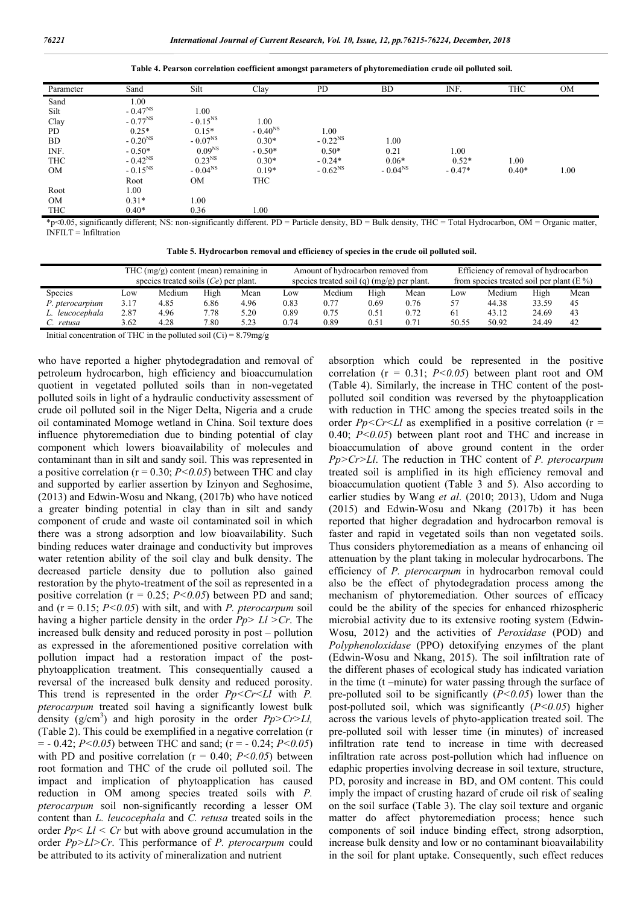**Table 4. Pearson correlation coefficient amongst parameters of phytoremediation crude oil polluted soil.**

| Parameter  | Sand         | Silt         | Clay         | PD           | <b>BD</b>    | INF.     | <b>THC</b> | <b>OM</b> |
|------------|--------------|--------------|--------------|--------------|--------------|----------|------------|-----------|
| Sand       | 1.00         |              |              |              |              |          |            |           |
| Silt       | $-0.47^{NS}$ | 1.00         |              |              |              |          |            |           |
| Clay       | $-0.77^{NS}$ | $-0.15^{NS}$ | 1.00         |              |              |          |            |           |
| PD         | $0.25*$      | $0.15*$      | $-0.40^{NS}$ | 1.00         |              |          |            |           |
| <b>BD</b>  | $-0.20^{NS}$ | $-0.07^{NS}$ | $0.30*$      | $-0.22^{NS}$ | 1.00         |          |            |           |
| INF.       | $-0.50*$     | $0.09^{NS}$  | $-0.50*$     | $0.50*$      | 0.21         | 1.00     |            |           |
| <b>THC</b> | $-0.42^{NS}$ | $0.23^{NS}$  | $0.30*$      | $-0.24*$     | $0.06*$      | $0.52*$  | 1.00       |           |
| <b>OM</b>  | $-0.15^{NS}$ | $-0.04^{NS}$ | $0.19*$      | $-0.62^{NS}$ | $-0.04^{NS}$ | $-0.47*$ | $0.40*$    | 1.00      |
|            | Root         | <b>OM</b>    | THC          |              |              |          |            |           |
| Root       | 1.00         |              |              |              |              |          |            |           |
| <b>OM</b>  | $0.31*$      | 1.00         |              |              |              |          |            |           |
| <b>THC</b> | $0.40*$      | 0.36         | 1.00         |              |              |          |            |           |

\*p<0.05, significantly different; NS: non-significantly different. PD = Particle density, BD = Bulk density, THC = Total Hydrocarbon, OM = Organic matter,  $\overline{\text{NFH}}$  T = Infiltration

**Table 5. Hydrocarbon removal and efficiency of species in the crude oil polluted soil.**

|                 |         | THC $(mg/g)$ content (mean) remaining in<br>species treated soils $(Ce)$ per plant. |                                                                                                                                                                                                                                                                                                                                    |      |      | Amount of hydrocarbon removed from<br>species treated soil (q) $(mg/g)$ per plant. |      |      | Efficiency of removal of hydrocarbon<br>from species treated soil per plant ( $E\%$ ) |        |       |      |  |
|-----------------|---------|-------------------------------------------------------------------------------------|------------------------------------------------------------------------------------------------------------------------------------------------------------------------------------------------------------------------------------------------------------------------------------------------------------------------------------|------|------|------------------------------------------------------------------------------------|------|------|---------------------------------------------------------------------------------------|--------|-------|------|--|
| <b>Species</b>  | $L$ OW  | Medium                                                                              | High                                                                                                                                                                                                                                                                                                                               | Mean | LOW  | Medium                                                                             | High | Mean | LOW                                                                                   | Medium | High  | Mean |  |
| P. pterocarpium | 3.17    | 4.85                                                                                | 6.86                                                                                                                                                                                                                                                                                                                               | 4.96 | 0.83 | 0.77                                                                               | 0.69 | 0.76 |                                                                                       | 44.38  | 33.59 | 45   |  |
| L. leucocephala | 2.87    | 4.96                                                                                | 7.78                                                                                                                                                                                                                                                                                                                               | 5.20 | 0.89 | 0.75                                                                               | 0.51 | 0.72 | 61                                                                                    | 43.12  | 24.69 | 43   |  |
| C. retusa       | 3.62    | 4.28                                                                                | 7.80                                                                                                                                                                                                                                                                                                                               | 5.23 | 0.74 | 0.89                                                                               | 0.51 | 0.71 | 50.55                                                                                 | 50.92  | 24.49 | 42   |  |
|                 | 2.77772 | $\mathbf{11}$ $\mathbf{1}$                                                          | $\mathbf{1}$ $\mathbf{1}$ $\mathbf{1}$ $\mathbf{1}$ $\mathbf{1}$ $\mathbf{1}$ $\mathbf{1}$ $\mathbf{1}$ $\mathbf{1}$ $\mathbf{1}$ $\mathbf{1}$ $\mathbf{1}$ $\mathbf{1}$ $\mathbf{1}$ $\mathbf{1}$ $\mathbf{1}$ $\mathbf{1}$ $\mathbf{1}$ $\mathbf{1}$ $\mathbf{1}$ $\mathbf{1}$ $\mathbf{1}$ $\mathbf{1}$ $\mathbf{1}$ $\mathbf{$ |      |      |                                                                                    |      |      |                                                                                       |        |       |      |  |

Initial concentration of THC in the polluted soil  $(Ci) = 8.79$ mg/g

who have reported a higher phytodegradation and removal of petroleum hydrocarbon, high efficiency and bioaccumulation quotient in vegetated polluted soils than in non-vegetated polluted soils in light of a hydraulic conductivity assessment of crude oil polluted soil in the Niger Delta, Nigeria and a crude oil contaminated Momoge wetland in China. Soil texture does influence phytoremediation due to binding potential of clay component which lowers bioavailability of molecules and contaminant than in silt and sandy soil. This was represented in a positive correlation ( $r = 0.30$ ;  $P < 0.05$ ) between THC and clay and supported by earlier assertion by Izinyon and Seghosime, (2013) and Edwin-Wosu and Nkang, (2017b) who have noticed a greater binding potential in clay than in silt and sandy component of crude and waste oil contaminated soil in which there was a strong adsorption and low bioavailability. Such binding reduces water drainage and conductivity but improves water retention ability of the soil clay and bulk density. The decreased particle density due to pollution also gained restoration by the phyto-treatment of the soil as represented in a positive correlation ( $r = 0.25$ ;  $P < 0.05$ ) between PD and sand; and (r = 0.15; *P<0.05*) with silt, and with *P. pterocarpum* soil having a higher particle density in the order *Pp> Ll >Cr*. The increased bulk density and reduced porosity in post – pollution as expressed in the aforementioned positive correlation with pollution impact had a restoration impact of the postphytoapplication treatment. This consequentially caused a reversal of the increased bulk density and reduced porosity. This trend is represented in the order *Pp<Cr<Ll* with *P. pterocarpum* treated soil having a significantly lowest bulk density  $(g/cm^3)$  and high porosity in the order  $Pp > Cr > Ll$ , (Table 2). This could be exemplified in a negative correlation (r = - 0.42; *P<0.05*) between THC and sand; (r = - 0.24; *P<0.05*) with PD and positive correlation ( $r = 0.40$ ;  $P < 0.05$ ) between root formation and THC of the crude oil polluted soil. The impact and implication of phytoapplication has caused reduction in OM among species treated soils with *P. pterocarpum* soil non-significantly recording a lesser OM content than *L. leucocephala* and *C. retusa* treated soils in the order  $Pp \leq Ll \leq Cr$  but with above ground accumulation in the order *Pp>Ll>Cr*. This performance of *P. pterocarpum* could be attributed to its activity of mineralization and nutrient

absorption which could be represented in the positive correlation ( $r = 0.31$ ;  $P < 0.05$ ) between plant root and OM (Table 4). Similarly, the increase in THC content of the postpolluted soil condition was reversed by the phytoapplication with reduction in THC among the species treated soils in the order  $Pp < Cr < Ll$  as exemplified in a positive correlation ( $r =$ 0.40; *P<0.05*) between plant root and THC and increase in bioaccumulation of above ground content in the order *Pp>Cr>Ll*. The reduction in THC content of *P. pterocarpum*  treated soil is amplified in its high efficiency removal and bioaccumulation quotient (Table 3 and 5). Also according to earlier studies by Wang *et al*. (2010; 2013), Udom and Nuga (2015) and Edwin-Wosu and Nkang (2017b) it has been reported that higher degradation and hydrocarbon removal is faster and rapid in vegetated soils than non vegetated soils. Thus considers phytoremediation as a means of enhancing oil attenuation by the plant taking in molecular hydrocarbons. The efficiency of *P. pterocarpum* in hydrocarbon removal could also be the effect of phytodegradation process among the mechanism of phytoremediation. Other sources of efficacy could be the ability of the species for enhanced rhizospheric microbial activity due to its extensive rooting system (Edwin-Wosu, 2012) and the activities of *Peroxidase* (POD) and *Polyphenoloxidase* (PPO) detoxifying enzymes of the plant (Edwin-Wosu and Nkang, 2015). The soil infiltration rate of the different phases of ecological study has indicated variation in the time (t –minute) for water passing through the surface of pre-polluted soil to be significantly (*P<0.05*) lower than the post-polluted soil, which was significantly (*P<0.05*) higher across the various levels of phyto-application treated soil. The pre-polluted soil with lesser time (in minutes) of increased infiltration rate tend to increase in time with decreased infiltration rate across post-pollution which had influence on edaphic properties involving decrease in soil texture, structure, PD, porosity and increase in BD, and OM content. This could imply the impact of crusting hazard of crude oil risk of sealing on the soil surface (Table 3). The clay soil texture and organic matter do affect phytoremediation process; hence such components of soil induce binding effect, strong adsorption, increase bulk density and low or no contaminant bioavailability in the soil for plant uptake. Consequently, such effect reduces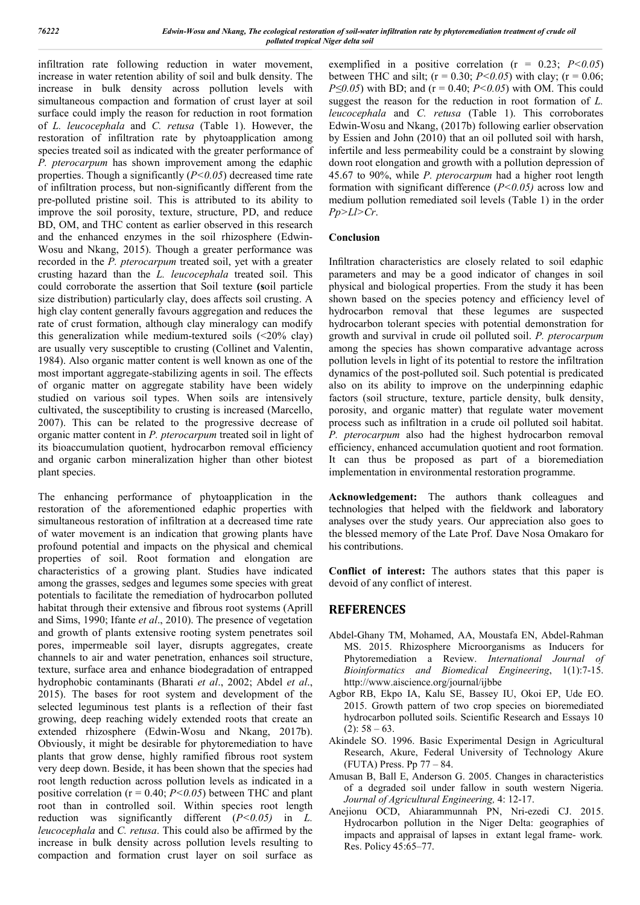infiltration rate following reduction in water movement, increase in water retention ability of soil and bulk density. The increase in bulk density across pollution levels with simultaneous compaction and formation of crust layer at soil surface could imply the reason for reduction in root formation of *L. leucocephala* and *C. retusa* (Table 1). However, the restoration of infiltration rate by phytoapplication among species treated soil as indicated with the greater performance of *P. pterocarpum* has shown improvement among the edaphic properties. Though a significantly (*P<0.05*) decreased time rate of infiltration process, but non-significantly different from the pre-polluted pristine soil. This is attributed to its ability to improve the soil porosity, texture, structure, PD, and reduce BD, OM, and THC content as earlier observed in this research and the enhanced enzymes in the soil rhizosphere (Edwin-Wosu and Nkang, 2015). Though a greater performance was recorded in the *P. pterocarpum* treated soil, yet with a greater crusting hazard than the *L. leucocephala* treated soil. This could corroborate the assertion that Soil texture **(s**oil particle size distribution) particularly clay, does affects soil crusting. A high clay content generally favours aggregation and reduces the rate of crust formation, although clay mineralogy can modify this generalization while medium-textured soils  $(\leq 20\% \text{ clay})$ are usually very susceptible to crusting (Collinet and Valentin, 1984). Also organic matter content is well known as one of the most important aggregate-stabilizing agents in soil. The effects of organic matter on aggregate stability have been widely studied on various soil types. When soils are intensively cultivated, the susceptibility to crusting is increased (Marcello, 2007). This can be related to the progressive decrease of organic matter content in *P. pterocarpum* treated soil in light of its bioaccumulation quotient, hydrocarbon removal efficiency and organic carbon mineralization higher than other biotest plant species.

The enhancing performance of phytoapplication in the restoration of the aforementioned edaphic properties with simultaneous restoration of infiltration at a decreased time rate of water movement is an indication that growing plants have profound potential and impacts on the physical and chemical properties of soil. Root formation and elongation are characteristics of a growing plant. Studies have indicated among the grasses, sedges and legumes some species with great potentials to facilitate the remediation of hydrocarbon polluted habitat through their extensive and fibrous root systems (Aprill and Sims, 1990; Ifante *et al*., 2010). The presence of vegetation and growth of plants extensive rooting system penetrates soil pores, impermeable soil layer, disrupts aggregates, create channels to air and water penetration, enhances soil structure, texture, surface area and enhance biodegradation of entrapped hydrophobic contaminants (Bharati *et al*., 2002; Abdel *et al*., 2015). The bases for root system and development of the selected leguminous test plants is a reflection of their fast growing, deep reaching widely extended roots that create an extended rhizosphere (Edwin-Wosu and Nkang, 2017b). Obviously, it might be desirable for phytoremediation to have plants that grow dense, highly ramified fibrous root system very deep down. Beside, it has been shown that the species had root length reduction across pollution levels as indicated in a positive correlation ( $r = 0.40$ ;  $P < 0.05$ ) between THC and plant root than in controlled soil. Within species root length reduction was significantly different (*P<0.05)* in *L. leucocephala* and *C. retusa*. This could also be affirmed by the increase in bulk density across pollution levels resulting to compaction and formation crust layer on soil surface as

exemplified in a positive correlation  $(r = 0.23; P < 0.05)$ between THC and silt;  $(r = 0.30; P < 0.05)$  with clay;  $(r = 0.06;$ *P≤0.05*) with BD; and (r = 0.40; *P<0.05*) with OM. This could suggest the reason for the reduction in root formation of *L. leucocephala* and *C. retusa* (Table 1). This corroborates Edwin-Wosu and Nkang, (2017b) following earlier observation by Essien and John (2010) that an oil polluted soil with harsh, infertile and less permeability could be a constraint by slowing down root elongation and growth with a pollution depression of 45.67 to 90%, while *P. pterocarpum* had a higher root length formation with significant difference (*P<0.05)* across low and medium pollution remediated soil levels (Table 1) in the order *Pp>Ll>Cr*.

#### **Conclusion**

Infiltration characteristics are closely related to soil edaphic parameters and may be a good indicator of changes in soil physical and biological properties. From the study it has been shown based on the species potency and efficiency level of hydrocarbon removal that these legumes are suspected hydrocarbon tolerant species with potential demonstration for growth and survival in crude oil polluted soil. *P. pterocarpum*  among the species has shown comparative advantage across pollution levels in light of its potential to restore the infiltration dynamics of the post-polluted soil. Such potential is predicated also on its ability to improve on the underpinning edaphic factors (soil structure, texture, particle density, bulk density, porosity, and organic matter) that regulate water movement process such as infiltration in a crude oil polluted soil habitat. *P. pterocarpum* also had the highest hydrocarbon removal efficiency, enhanced accumulation quotient and root formation. It can thus be proposed as part of a bioremediation implementation in environmental restoration programme.

**Acknowledgement:** The authors thank colleagues and technologies that helped with the fieldwork and laboratory analyses over the study years. Our appreciation also goes to the blessed memory of the Late Prof. Dave Nosa Omakaro for his contributions.

**Conflict of interest:** The authors states that this paper is devoid of any conflict of interest.

# **REFERENCES**

- Abdel-Ghany TM, Mohamed, AA, Moustafa EN, Abdel-Rahman MS. 2015. Rhizosphere Microorganisms as Inducers for Phytoremediation a Review. *International Journal of Bioinformatics and Biomedical Engineering*, 1(1):7-15. http://www.aiscience.org/journal/ijbbe
- Agbor RB, Ekpo IA, Kalu SE, Bassey IU, Okoi EP, Ude EO. 2015. Growth pattern of two crop species on bioremediated hydrocarbon polluted soils. Scientific Research and Essays 10  $(2): 58 - 63.$
- Akindele SO. 1996. Basic Experimental Design in Agricultural Research, Akure, Federal University of Technology Akure (FUTA) Press. Pp 77 – 84.
- Amusan B, Ball E, Anderson G. 2005. Changes in characteristics of a degraded soil under fallow in south western Nigeria. *Journal of Agricultural Engineering,* 4: 12-17.
- Anejionu OCD, Ahiarammunnah PN, Nri-ezedi CJ. 2015. Hydrocarbon pollution in the Niger Delta: geographies of impacts and appraisal of lapses in extant legal frame- work*.*  Res. Policy 45:65–77.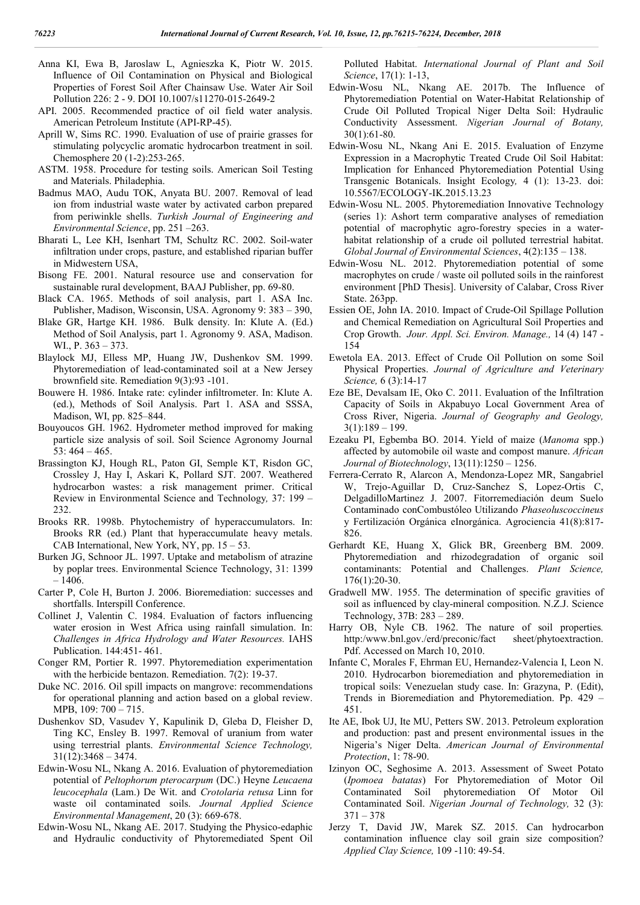- Anna KI, Ewa B, Jaroslaw L, Agnieszka K, Piotr W. 2015. Influence of Oil Contamination on Physical and Biological Properties of Forest Soil After Chainsaw Use. Water Air Soil Pollution 226: 2 - 9. DOI 10.1007/s11270-015-2649-2
- API. 2005. Recommended practice of oil field water analysis. American Petroleum Institute (API-RP-45).
- Aprill W, Sims RC. 1990. Evaluation of use of prairie grasses for stimulating polycyclic aromatic hydrocarbon treatment in soil. Chemosphere 20 (1-2):253-265.
- ASTM. 1958. Procedure for testing soils. American Soil Testing and Materials. Philadephia.
- Badmus MAO, Audu TOK, Anyata BU. 2007. Removal of lead ion from industrial waste water by activated carbon prepared from periwinkle shells. *Turkish Journal of Engineering and Environmental Science*, pp. 251 –263.
- Bharati L, Lee KH, Isenhart TM, Schultz RC. 2002. Soil-water infiltration under crops, pasture, and established riparian buffer in Midwestern USA,
- Bisong FE. 2001. Natural resource use and conservation for sustainable rural development, BAAJ Publisher, pp. 69-80.
- Black CA. 1965. Methods of soil analysis, part 1. ASA Inc. Publisher, Madison, Wisconsin, USA. Agronomy 9: 383 – 390,
- Blake GR, Hartge KH. 1986. Bulk density. In: Klute A. (Ed.) Method of Soil Analysis, part 1. Agronomy 9. ASA, Madison. WI., P. 363 – 373.
- Blaylock MJ, Elless MP, Huang JW, Dushenkov SM. 1999. Phytoremediation of lead-contaminated soil at a New Jersey brownfield site. Remediation 9(3):93 -101.
- Bouwere H. 1986. Intake rate: cylinder infiltrometer. In: Klute A. (ed.), Methods of Soil Analysis. Part 1. ASA and SSSA, Madison, WI, pp. 825–844.
- Bouyoucos GH. 1962. Hydrometer method improved for making particle size analysis of soil. Soil Science Agronomy Journal 53: 464 – 465.
- Brassington KJ, Hough RL, Paton GI, Semple KT, Risdon GC, Crossley J, Hay I, Askari K, Pollard SJT. 2007. Weathered hydrocarbon wastes: a risk management primer. Critical Review in Environmental Science and Technology*,* 37: 199 – 232.
- Brooks RR. 1998b. Phytochemistry of hyperaccumulators. In: Brooks RR (ed.) Plant that hyperaccumulate heavy metals. CAB International, New York, NY, pp. 15 – 53.
- Burken JG, Schnoor JL. 1997. Uptake and metabolism of atrazine by poplar trees. Environmental Science Technology, 31: 1399 – 1406.
- Carter P, Cole H, Burton J. 2006. Bioremediation: successes and shortfalls. Interspill Conference.
- Collinet J, Valentin C. 1984. Evaluation of factors influencing water erosion in West Africa using rainfall simulation. In: *Challenges in Africa Hydrology and Water Resources.* IAHS Publication. 144:451- 461.
- Conger RM, Portier R. 1997. Phytoremediation experimentation with the herbicide bentazon. Remediation. 7(2): 19-37.
- Duke NC. 2016. Oil spill impacts on mangrove: recommendations for operational planning and action based on a global review. MPB, 109: 700 – 715.
- Dushenkov SD, Vasudev Y, Kapulinik D, Gleba D, Fleisher D, Ting KC, Ensley B. 1997. Removal of uranium from water using terrestrial plants. *Environmental Science Technology,*  $31(12):3468 - 3474.$
- Edwin-Wosu NL, Nkang A. 2016. Evaluation of phytoremediation potential of *Peltophorum pterocarpum* (DC.) Heyne *Leucaena leucocephala* (Lam.) De Wit. and *Crotolaria retusa* Linn for waste oil contaminated soils. *Journal Applied Science Environmental Management*, 20 (3): 669-678.
- Edwin-Wosu NL, Nkang AE. 2017. Studying the Physico-edaphic and Hydraulic conductivity of Phytoremediated Spent Oil

Polluted Habitat. *International Journal of Plant and Soil Science*, 17(1): 1-13,

- Edwin-Wosu NL, Nkang AE. 2017b. The Influence of Phytoremediation Potential on Water-Habitat Relationship of Crude Oil Polluted Tropical Niger Delta Soil: Hydraulic Conductivity Assessment. *Nigerian Journal of Botany,* 30(1):61-80.
- Edwin-Wosu NL, Nkang Ani E. 2015. Evaluation of Enzyme Expression in a Macrophytic Treated Crude Oil Soil Habitat: Implication for Enhanced Phytoremediation Potential Using Transgenic Botanicals. Insight Ecology*,* 4 (1): 13-23. doi: 10.5567/ECOLOGY-IK.2015.13.23
- Edwin-Wosu NL. 2005. Phytoremediation Innovative Technology (series 1): Ashort term comparative analyses of remediation potential of macrophytic agro-forestry species in a waterhabitat relationship of a crude oil polluted terrestrial habitat. *Global Journal of Environmental Sciences*, 4(2):135 – 138.
- Edwin-Wosu NL. 2012. Phytoremediation potential of some macrophytes on crude / waste oil polluted soils in the rainforest environment [PhD Thesis]. University of Calabar, Cross River State. 263pp.
- Essien OE, John IA. 2010. Impact of Crude-Oil Spillage Pollution and Chemical Remediation on Agricultural Soil Properties and Crop Growth. *Jour. Appl. Sci. Environ. Manage.,* 14 (4) 147 - 154
- Ewetola EA. 2013. Effect of Crude Oil Pollution on some Soil Physical Properties. *Journal of Agriculture and Veterinary Science,* 6 (3):14-17
- Eze BE, Devalsam IE, Oko C. 2011. Evaluation of the Infiltration Capacity of Soils in Akpabuyo Local Government Area of Cross River, Nigeria. *Journal of Geography and Geology,*  $3(1):189-199.$
- Ezeaku PI, Egbemba BO. 2014. Yield of maize (*Manoma* spp.) affected by automobile oil waste and compost manure. *African Journal of Biotechnology*, 13(11):1250 – 1256.
- Ferrera-Cerrato R, Alarcon A, Mendonza-Lopez MR, Sangabriel W, Trejo-Aguillar D, Cruz-Sanchez S, Lopez-Ortis C, DelgadilloMartinez J. 2007. Fitorremediación deum Suelo Contaminado conCombustóleo Utilizando *Phaseoluscoccineus* y Fertilización Orgánica eInorgánica. Agrociencia 41(8):817- 826.
- Gerhardt KE, Huang X, Glick BR, Greenberg BM. 2009. Phytoremediation and rhizodegradation of organic soil contaminants: Potential and Challenges. *Plant Science,*  176(1):20-30.
- Gradwell MW. 1955. The determination of specific gravities of soil as influenced by clay-mineral composition. N.Z.J. Science Technology, 37B: 283 – 289.
- Harry OB, Nyle CB. 1962. The nature of soil properties*.* http:/www.bnl.gov./erd/preconic/fact sheet/phytoextraction. Pdf. Accessed on March 10, 2010.
- Infante C, Morales F, Ehrman EU, Hernandez-Valencia I, Leon N. 2010. Hydrocarbon bioremediation and phytoremediation in tropical soils: Venezuelan study case. In: Grazyna, P. (Edit), Trends in Bioremediation and Phytoremediation. Pp. 429 – 451.
- Ite AE, Ibok UJ, Ite MU, Petters SW. 2013. Petroleum exploration and production: past and present environmental issues in the Nigeria's Niger Delta. *American Journal of Environmental Protection*, 1: 78-90.
- Izinyon OC, Seghosime A. 2013. Assessment of Sweet Potato (*Ipomoea batatas*) For Phytoremediation of Motor Oil Contaminated Soil phytoremediation Of Motor Oil Contaminated Soil. *Nigerian Journal of Technology,* 32 (3): 371 – 378
- Jerzy T, David JW, Marek SZ. 2015. Can hydrocarbon contamination influence clay soil grain size composition? *Applied Clay Science,* 109 -110: 49-54.